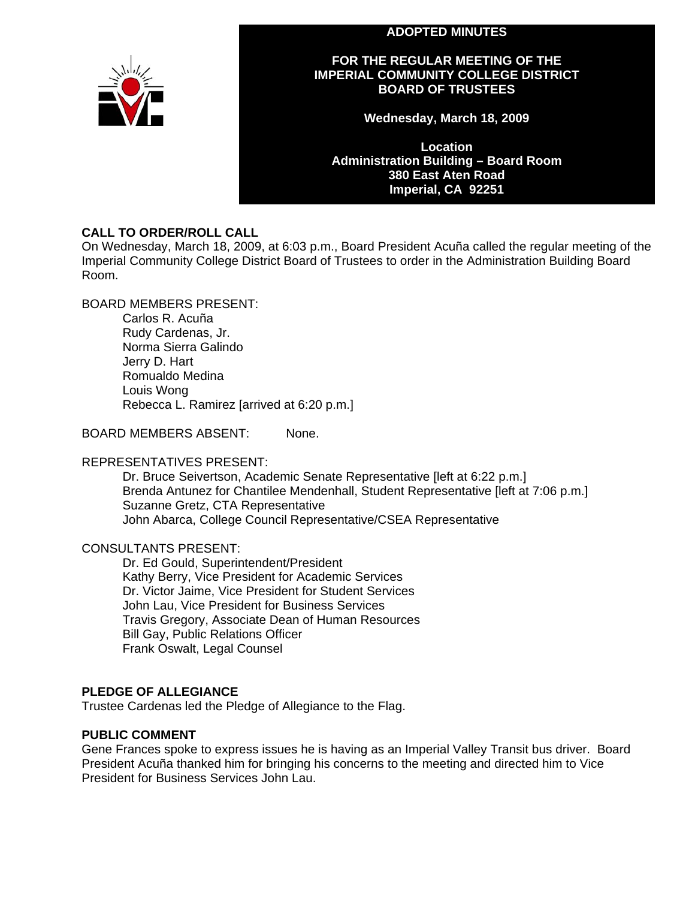#### **ADOPTED MINUTES**



# **FOR THE REGULAR MEETING OF THE IMPERIAL COMMUNITY COLLEGE DISTRICT BOARD OF TRUSTEES**

**Wednesday, March 18, 2009** 

**Location Administration Building – Board Room 380 East Aten Road Imperial, CA 92251** 

# **CALL TO ORDER/ROLL CALL**

On Wednesday, March 18, 2009, at 6:03 p.m., Board President Acuña called the regular meeting of the Imperial Community College District Board of Trustees to order in the Administration Building Board Room.

BOARD MEMBERS PRESENT:

Carlos R. Acuña Rudy Cardenas, Jr. Norma Sierra Galindo Jerry D. Hart Romualdo Medina Louis Wong Rebecca L. Ramirez [arrived at 6:20 p.m.]

BOARD MEMBERS ABSENT: None.

# REPRESENTATIVES PRESENT:

Dr. Bruce Seivertson, Academic Senate Representative [left at 6:22 p.m.] Brenda Antunez for Chantilee Mendenhall, Student Representative [left at 7:06 p.m.] Suzanne Gretz, CTA Representative John Abarca, College Council Representative/CSEA Representative

# CONSULTANTS PRESENT:

Dr. Ed Gould, Superintendent/President Kathy Berry, Vice President for Academic Services Dr. Victor Jaime, Vice President for Student Services John Lau, Vice President for Business Services Travis Gregory, Associate Dean of Human Resources Bill Gay, Public Relations Officer Frank Oswalt, Legal Counsel

# **PLEDGE OF ALLEGIANCE**

Trustee Cardenas led the Pledge of Allegiance to the Flag.

# **PUBLIC COMMENT**

Gene Frances spoke to express issues he is having as an Imperial Valley Transit bus driver. Board President Acuña thanked him for bringing his concerns to the meeting and directed him to Vice President for Business Services John Lau.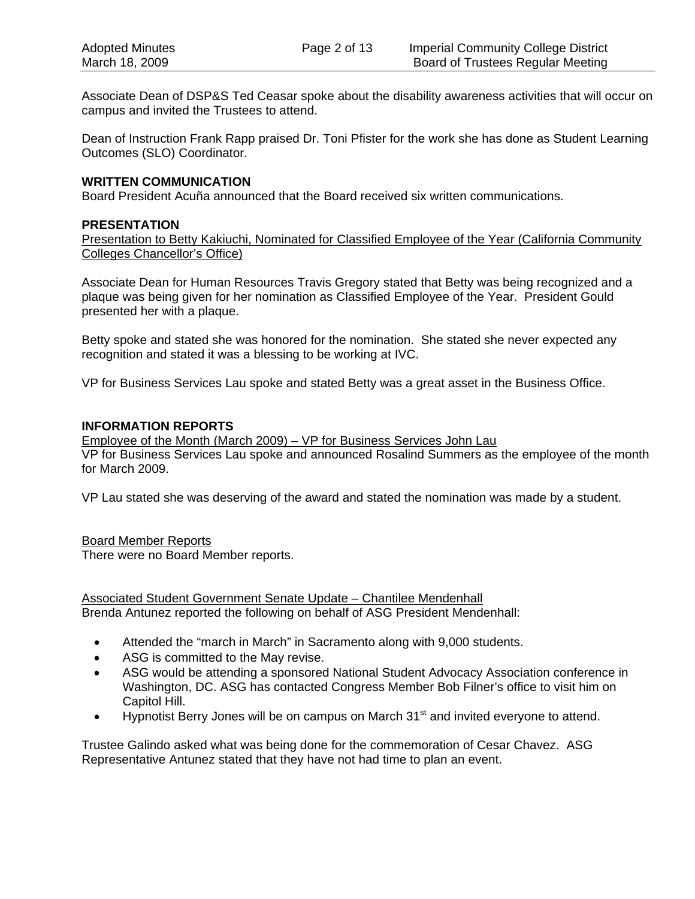Associate Dean of DSP&S Ted Ceasar spoke about the disability awareness activities that will occur on campus and invited the Trustees to attend.

Dean of Instruction Frank Rapp praised Dr. Toni Pfister for the work she has done as Student Learning Outcomes (SLO) Coordinator.

## **WRITTEN COMMUNICATION**

Board President Acuña announced that the Board received six written communications.

#### **PRESENTATION**

Presentation to Betty Kakiuchi, Nominated for Classified Employee of the Year (California Community Colleges Chancellor's Office)

Associate Dean for Human Resources Travis Gregory stated that Betty was being recognized and a plaque was being given for her nomination as Classified Employee of the Year. President Gould presented her with a plaque.

Betty spoke and stated she was honored for the nomination. She stated she never expected any recognition and stated it was a blessing to be working at IVC.

VP for Business Services Lau spoke and stated Betty was a great asset in the Business Office.

#### **INFORMATION REPORTS**

Employee of the Month (March 2009) – VP for Business Services John Lau VP for Business Services Lau spoke and announced Rosalind Summers as the employee of the month for March 2009.

VP Lau stated she was deserving of the award and stated the nomination was made by a student.

#### Board Member Reports

There were no Board Member reports.

Associated Student Government Senate Update – Chantilee Mendenhall Brenda Antunez reported the following on behalf of ASG President Mendenhall:

- Attended the "march in March" in Sacramento along with 9,000 students.
- ASG is committed to the May revise.
- ASG would be attending a sponsored National Student Advocacy Association conference in Washington, DC. ASG has contacted Congress Member Bob Filner's office to visit him on Capitol Hill.
- Hypnotist Berry Jones will be on campus on March  $31<sup>st</sup>$  and invited everyone to attend.

Trustee Galindo asked what was being done for the commemoration of Cesar Chavez. ASG Representative Antunez stated that they have not had time to plan an event.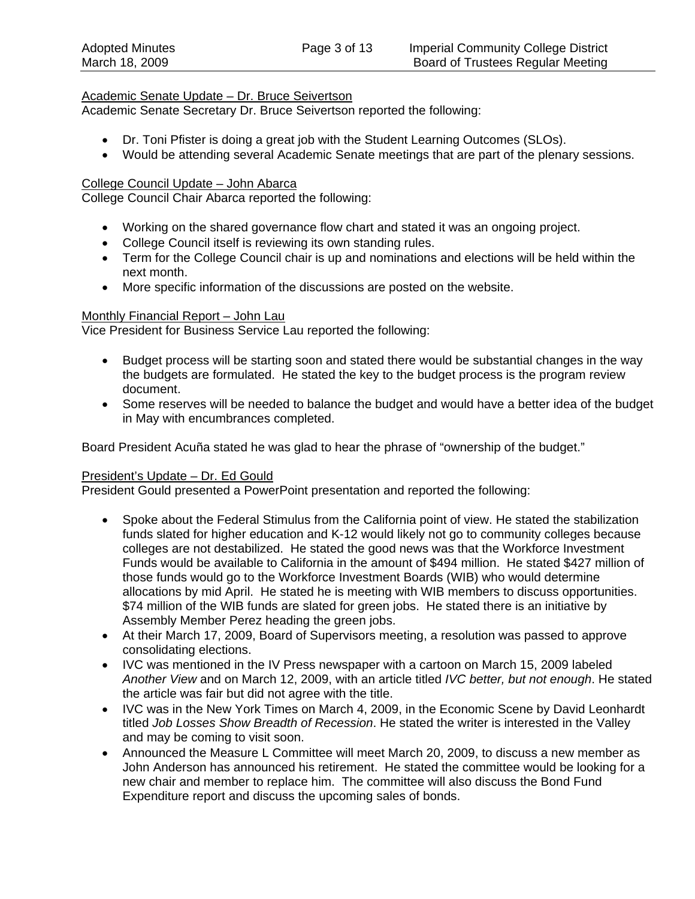# Academic Senate Update – Dr. Bruce Seivertson

Academic Senate Secretary Dr. Bruce Seivertson reported the following:

- Dr. Toni Pfister is doing a great job with the Student Learning Outcomes (SLOs).
- Would be attending several Academic Senate meetings that are part of the plenary sessions.

# College Council Update – John Abarca

College Council Chair Abarca reported the following:

- Working on the shared governance flow chart and stated it was an ongoing project.
- College Council itself is reviewing its own standing rules.
- Term for the College Council chair is up and nominations and elections will be held within the next month.
- More specific information of the discussions are posted on the website.

# Monthly Financial Report – John Lau

Vice President for Business Service Lau reported the following:

- Budget process will be starting soon and stated there would be substantial changes in the way the budgets are formulated. He stated the key to the budget process is the program review document.
- Some reserves will be needed to balance the budget and would have a better idea of the budget in May with encumbrances completed.

Board President Acuña stated he was glad to hear the phrase of "ownership of the budget."

# President's Update – Dr. Ed Gould

President Gould presented a PowerPoint presentation and reported the following:

- Spoke about the Federal Stimulus from the California point of view. He stated the stabilization funds slated for higher education and K-12 would likely not go to community colleges because colleges are not destabilized. He stated the good news was that the Workforce Investment Funds would be available to California in the amount of \$494 million. He stated \$427 million of those funds would go to the Workforce Investment Boards (WIB) who would determine allocations by mid April. He stated he is meeting with WIB members to discuss opportunities. \$74 million of the WIB funds are slated for green jobs. He stated there is an initiative by Assembly Member Perez heading the green jobs.
- At their March 17, 2009, Board of Supervisors meeting, a resolution was passed to approve consolidating elections.
- IVC was mentioned in the IV Press newspaper with a cartoon on March 15, 2009 labeled *Another View* and on March 12, 2009, with an article titled *IVC better, but not enough*. He stated the article was fair but did not agree with the title.
- IVC was in the New York Times on March 4, 2009, in the Economic Scene by David Leonhardt titled *Job Losses Show Breadth of Recession*. He stated the writer is interested in the Valley and may be coming to visit soon.
- Announced the Measure L Committee will meet March 20, 2009, to discuss a new member as John Anderson has announced his retirement. He stated the committee would be looking for a new chair and member to replace him. The committee will also discuss the Bond Fund Expenditure report and discuss the upcoming sales of bonds.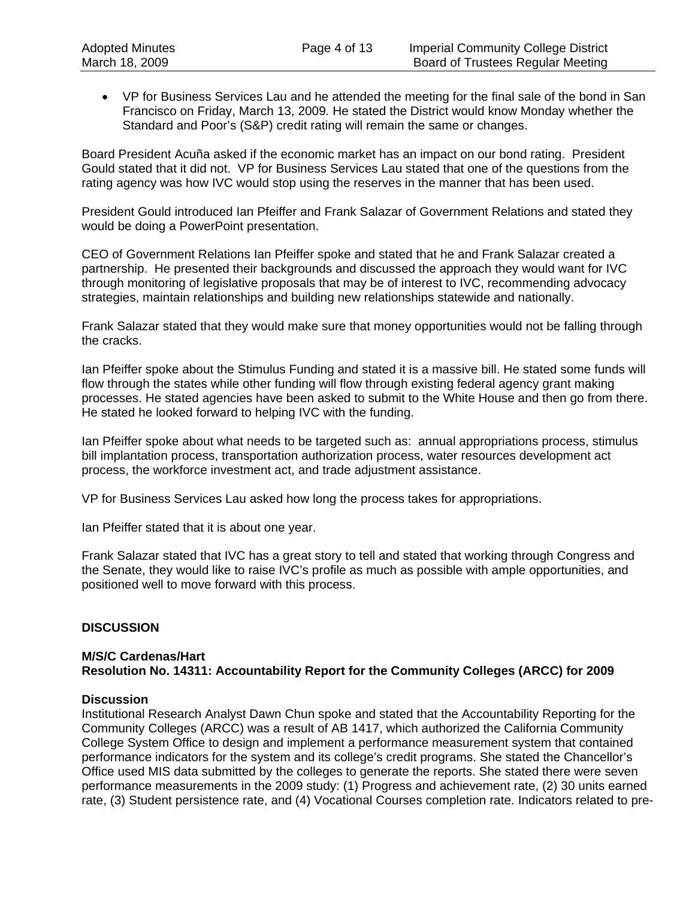• VP for Business Services Lau and he attended the meeting for the final sale of the bond in San Francisco on Friday, March 13, 2009. He stated the District would know Monday whether the Standard and Poor's (S&P) credit rating will remain the same or changes.

Board President Acuña asked if the economic market has an impact on our bond rating. President Gould stated that it did not. VP for Business Services Lau stated that one of the questions from the rating agency was how IVC would stop using the reserves in the manner that has been used.

President Gould introduced Ian Pfeiffer and Frank Salazar of Government Relations and stated they would be doing a PowerPoint presentation.

CEO of Government Relations Ian Pfeiffer spoke and stated that he and Frank Salazar created a partnership. He presented their backgrounds and discussed the approach they would want for IVC through monitoring of legislative proposals that may be of interest to IVC, recommending advocacy strategies, maintain relationships and building new relationships statewide and nationally.

Frank Salazar stated that they would make sure that money opportunities would not be falling through the cracks.

Ian Pfeiffer spoke about the Stimulus Funding and stated it is a massive bill. He stated some funds will flow through the states while other funding will flow through existing federal agency grant making processes. He stated agencies have been asked to submit to the White House and then go from there. He stated he looked forward to helping IVC with the funding.

Ian Pfeiffer spoke about what needs to be targeted such as: annual appropriations process, stimulus bill implantation process, transportation authorization process, water resources development act process, the workforce investment act, and trade adjustment assistance.

VP for Business Services Lau asked how long the process takes for appropriations.

Ian Pfeiffer stated that it is about one year.

Frank Salazar stated that IVC has a great story to tell and stated that working through Congress and the Senate, they would like to raise IVC's profile as much as possible with ample opportunities, and positioned well to move forward with this process.

# **DISCUSSION**

#### **M/S/C Cardenas/Hart Resolution No. 14311: Accountability Report for the Community Colleges (ARCC) for 2009**

#### **Discussion**

Institutional Research Analyst Dawn Chun spoke and stated that the Accountability Reporting for the Community Colleges (ARCC) was a result of AB 1417, which authorized the California Community College System Office to design and implement a performance measurement system that contained performance indicators for the system and its college's credit programs. She stated the Chancellor's Office used MIS data submitted by the colleges to generate the reports. She stated there were seven performance measurements in the 2009 study: (1) Progress and achievement rate, (2) 30 units earned rate, (3) Student persistence rate, and (4) Vocational Courses completion rate. Indicators related to pre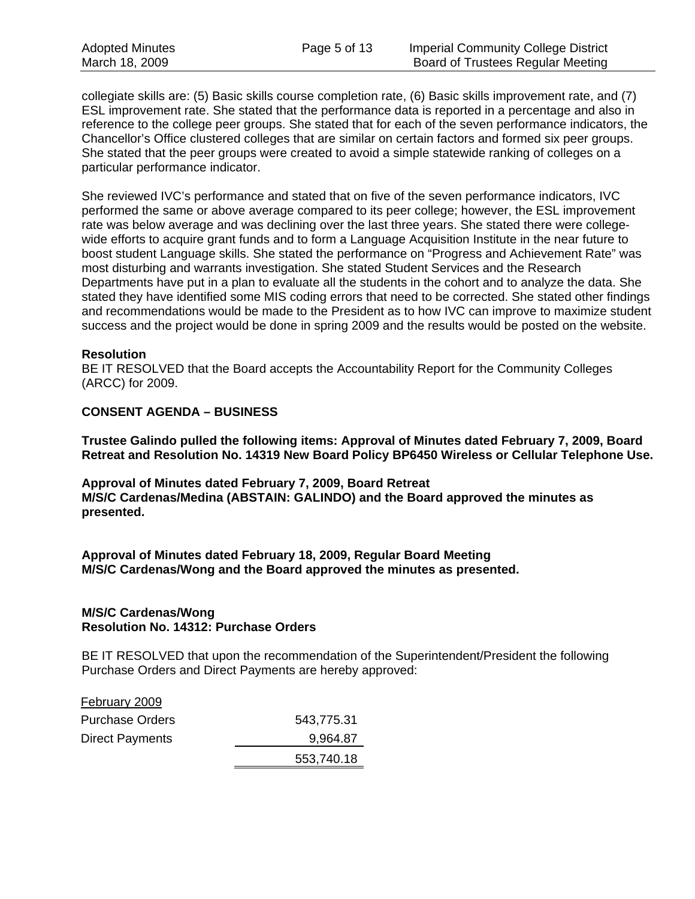collegiate skills are: (5) Basic skills course completion rate, (6) Basic skills improvement rate, and (7) ESL improvement rate. She stated that the performance data is reported in a percentage and also in reference to the college peer groups. She stated that for each of the seven performance indicators, the Chancellor's Office clustered colleges that are similar on certain factors and formed six peer groups. She stated that the peer groups were created to avoid a simple statewide ranking of colleges on a particular performance indicator.

She reviewed IVC's performance and stated that on five of the seven performance indicators, IVC performed the same or above average compared to its peer college; however, the ESL improvement rate was below average and was declining over the last three years. She stated there were collegewide efforts to acquire grant funds and to form a Language Acquisition Institute in the near future to boost student Language skills. She stated the performance on "Progress and Achievement Rate" was most disturbing and warrants investigation. She stated Student Services and the Research Departments have put in a plan to evaluate all the students in the cohort and to analyze the data. She stated they have identified some MIS coding errors that need to be corrected. She stated other findings and recommendations would be made to the President as to how IVC can improve to maximize student success and the project would be done in spring 2009 and the results would be posted on the website.

#### **Resolution**

BE IT RESOLVED that the Board accepts the Accountability Report for the Community Colleges (ARCC) for 2009.

#### **CONSENT AGENDA – BUSINESS**

**Trustee Galindo pulled the following items: Approval of Minutes dated February 7, 2009, Board Retreat and Resolution No. 14319 New Board Policy BP6450 Wireless or Cellular Telephone Use.** 

**Approval of Minutes dated February 7, 2009, Board Retreat M/S/C Cardenas/Medina (ABSTAIN: GALINDO) and the Board approved the minutes as presented.** 

**Approval of Minutes dated February 18, 2009, Regular Board Meeting M/S/C Cardenas/Wong and the Board approved the minutes as presented.** 

#### **M/S/C Cardenas/Wong Resolution No. 14312: Purchase Orders**

BE IT RESOLVED that upon the recommendation of the Superintendent/President the following Purchase Orders and Direct Payments are hereby approved:

| February 2009          |            |
|------------------------|------------|
| <b>Purchase Orders</b> | 543,775.31 |
| <b>Direct Payments</b> | 9,964.87   |
|                        | 553,740.18 |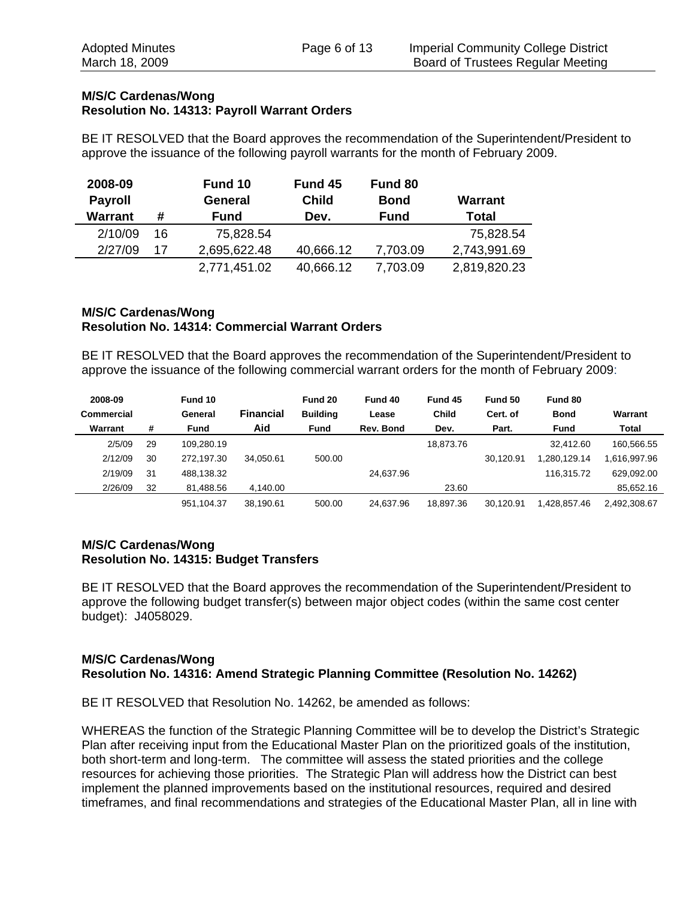## **M/S/C Cardenas/Wong Resolution No. 14313: Payroll Warrant Orders**

BE IT RESOLVED that the Board approves the recommendation of the Superintendent/President to approve the issuance of the following payroll warrants for the month of February 2009.

| 2008-09<br><b>Payroll</b><br>Warrant | Fund 10<br>General<br><b>Fund</b><br># |              | Fund 45<br><b>Child</b><br>Dev. | Fund 80<br><b>Bond</b><br><b>Fund</b> | Warrant<br>Total |
|--------------------------------------|----------------------------------------|--------------|---------------------------------|---------------------------------------|------------------|
| 2/10/09                              | 16                                     | 75,828.54    |                                 |                                       | 75,828.54        |
| 2/27/09                              | 17                                     | 2,695,622.48 | 40,666.12                       | 7,703.09                              | 2,743,991.69     |
|                                      |                                        | 2,771,451.02 | 40,666.12                       | 7,703.09                              | 2,819,820.23     |

# **M/S/C Cardenas/Wong Resolution No. 14314: Commercial Warrant Orders**

BE IT RESOLVED that the Board approves the recommendation of the Superintendent/President to approve the issuance of the following commercial warrant orders for the month of February 2009:

| 2008-09    |    | Fund 10    |                  | Fund 20         | Fund 40   | Fund 45      | Fund 50   | Fund 80      |              |
|------------|----|------------|------------------|-----------------|-----------|--------------|-----------|--------------|--------------|
| Commercial |    | General    | <b>Financial</b> | <b>Building</b> | Lease     | <b>Child</b> | Cert. of  | <b>Bond</b>  | Warrant      |
| Warrant    | #  | Fund       | Aid              | <b>Fund</b>     | Rev. Bond | Dev.         | Part.     | Fund         | Total        |
| 2/5/09     | 29 | 109.280.19 |                  |                 |           | 18.873.76    |           | 32.412.60    | 160.566.55   |
| 2/12/09    | 30 | 272.197.30 | 34.050.61        | 500.00          |           |              | 30.120.91 | .280.129.14  | 1,616,997.96 |
| 2/19/09    | 31 | 488,138.32 |                  |                 | 24.637.96 |              |           | 116.315.72   | 629.092.00   |
| 2/26/09    | 32 | 81.488.56  | 4.140.00         |                 |           | 23.60        |           |              | 85,652.16    |
|            |    | 951,104.37 | 38.190.61        | 500.00          | 24.637.96 | 18.897.36    | 30.120.91 | 1.428.857.46 | 2,492,308.67 |

# **M/S/C Cardenas/Wong Resolution No. 14315: Budget Transfers**

BE IT RESOLVED that the Board approves the recommendation of the Superintendent/President to approve the following budget transfer(s) between major object codes (within the same cost center budget): J4058029.

#### **M/S/C Cardenas/Wong Resolution No. 14316: Amend Strategic Planning Committee (Resolution No. 14262)**

BE IT RESOLVED that Resolution No. 14262, be amended as follows:

WHEREAS the function of the Strategic Planning Committee will be to develop the District's Strategic Plan after receiving input from the Educational Master Plan on the prioritized goals of the institution, both short-term and long-term. The committee will assess the stated priorities and the college resources for achieving those priorities. The Strategic Plan will address how the District can best implement the planned improvements based on the institutional resources, required and desired timeframes, and final recommendations and strategies of the Educational Master Plan, all in line with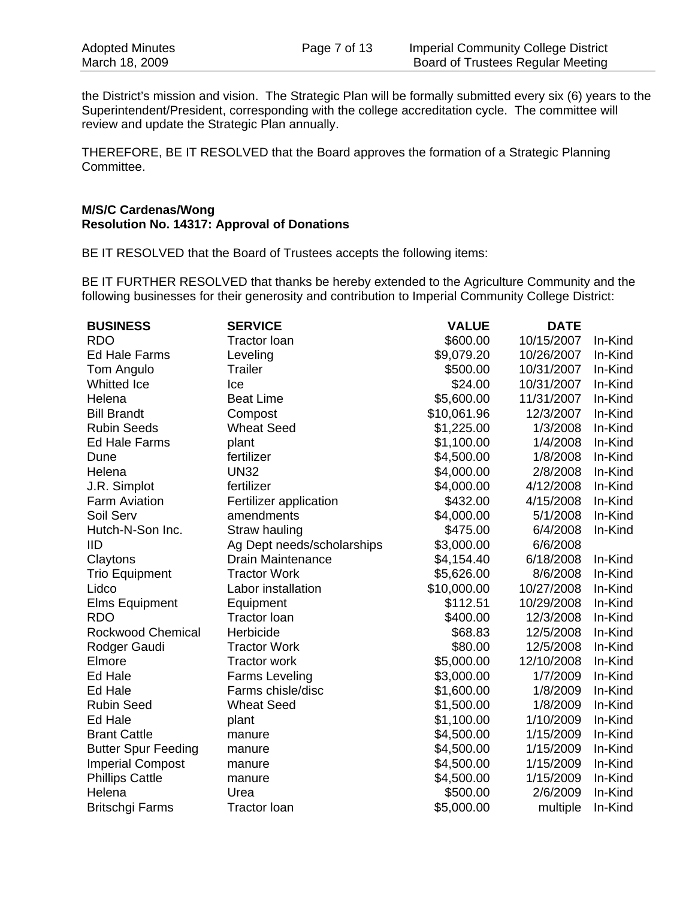the District's mission and vision. The Strategic Plan will be formally submitted every six (6) years to the Superintendent/President, corresponding with the college accreditation cycle. The committee will review and update the Strategic Plan annually.

THEREFORE, BE IT RESOLVED that the Board approves the formation of a Strategic Planning Committee.

# **M/S/C Cardenas/Wong Resolution No. 14317: Approval of Donations**

BE IT RESOLVED that the Board of Trustees accepts the following items:

BE IT FURTHER RESOLVED that thanks be hereby extended to the Agriculture Community and the following businesses for their generosity and contribution to Imperial Community College District:

| <b>BUSINESS</b>            | <b>SERVICE</b>             | <b>VALUE</b> | <b>DATE</b> |         |
|----------------------------|----------------------------|--------------|-------------|---------|
| <b>RDO</b>                 | <b>Tractor loan</b>        | \$600.00     | 10/15/2007  | In-Kind |
| <b>Ed Hale Farms</b>       | Leveling                   | \$9,079.20   | 10/26/2007  | In-Kind |
| Tom Angulo                 | <b>Trailer</b>             | \$500.00     | 10/31/2007  | In-Kind |
| Whitted Ice                | Ice                        | \$24.00      | 10/31/2007  | In-Kind |
| Helena                     | <b>Beat Lime</b>           | \$5,600.00   | 11/31/2007  | In-Kind |
| <b>Bill Brandt</b>         | Compost                    | \$10,061.96  | 12/3/2007   | In-Kind |
| <b>Rubin Seeds</b>         | <b>Wheat Seed</b>          | \$1,225.00   | 1/3/2008    | In-Kind |
| <b>Ed Hale Farms</b>       | plant                      | \$1,100.00   | 1/4/2008    | In-Kind |
| Dune                       | fertilizer                 | \$4,500.00   | 1/8/2008    | In-Kind |
| Helena                     | <b>UN32</b>                | \$4,000.00   | 2/8/2008    | In-Kind |
| J.R. Simplot               | fertilizer                 | \$4,000.00   | 4/12/2008   | In-Kind |
| <b>Farm Aviation</b>       | Fertilizer application     | \$432.00     | 4/15/2008   | In-Kind |
| Soil Serv                  | amendments                 | \$4,000.00   | 5/1/2008    | In-Kind |
| Hutch-N-Son Inc.           | Straw hauling              | \$475.00     | 6/4/2008    | In-Kind |
| 11D                        | Ag Dept needs/scholarships | \$3,000.00   | 6/6/2008    |         |
| Claytons                   | <b>Drain Maintenance</b>   | \$4,154.40   | 6/18/2008   | In-Kind |
| <b>Trio Equipment</b>      | <b>Tractor Work</b>        | \$5,626.00   | 8/6/2008    | In-Kind |
| Lidco                      | Labor installation         | \$10,000.00  | 10/27/2008  | In-Kind |
| <b>Elms Equipment</b>      | Equipment                  | \$112.51     | 10/29/2008  | In-Kind |
| <b>RDO</b>                 | <b>Tractor loan</b>        | \$400.00     | 12/3/2008   | In-Kind |
| <b>Rockwood Chemical</b>   | Herbicide                  | \$68.83      | 12/5/2008   | In-Kind |
| Rodger Gaudi               | <b>Tractor Work</b>        | \$80.00      | 12/5/2008   | In-Kind |
| Elmore                     | <b>Tractor work</b>        | \$5,000.00   | 12/10/2008  | In-Kind |
| Ed Hale                    | <b>Farms Leveling</b>      | \$3,000.00   | 1/7/2009    | In-Kind |
| Ed Hale                    | Farms chisle/disc          | \$1,600.00   | 1/8/2009    | In-Kind |
| <b>Rubin Seed</b>          | <b>Wheat Seed</b>          | \$1,500.00   | 1/8/2009    | In-Kind |
| Ed Hale                    | plant                      | \$1,100.00   | 1/10/2009   | In-Kind |
| <b>Brant Cattle</b>        | manure                     | \$4,500.00   | 1/15/2009   | In-Kind |
| <b>Butter Spur Feeding</b> | manure                     | \$4,500.00   | 1/15/2009   | In-Kind |
| <b>Imperial Compost</b>    | manure                     | \$4,500.00   | 1/15/2009   | In-Kind |
| <b>Phillips Cattle</b>     | manure                     | \$4,500.00   | 1/15/2009   | In-Kind |
| Helena                     | Urea                       | \$500.00     | 2/6/2009    | In-Kind |
| <b>Britschgi Farms</b>     | <b>Tractor loan</b>        | \$5,000.00   | multiple    | In-Kind |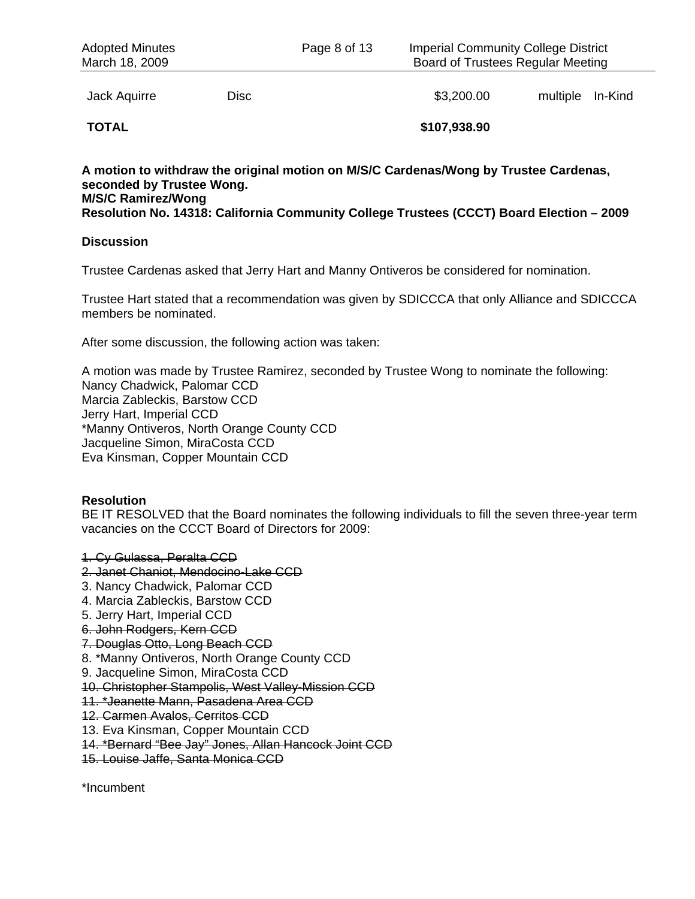Jack Aquirre **Disc Disc Contained Base Contained Base Contained Base Contained Base Contained Base Contained Base Contained Base Contained Base Contained Base Contained Base Contained Base Contain** 

**TOTAL \$107,938.90** 

# **A motion to withdraw the original motion on M/S/C Cardenas/Wong by Trustee Cardenas, seconded by Trustee Wong. M/S/C Ramirez/Wong**

**Resolution No. 14318: California Community College Trustees (CCCT) Board Election – 2009** 

#### **Discussion**

Trustee Cardenas asked that Jerry Hart and Manny Ontiveros be considered for nomination.

Trustee Hart stated that a recommendation was given by SDICCCA that only Alliance and SDICCCA members be nominated.

After some discussion, the following action was taken:

A motion was made by Trustee Ramirez, seconded by Trustee Wong to nominate the following: Nancy Chadwick, Palomar CCD Marcia Zableckis, Barstow CCD Jerry Hart, Imperial CCD \*Manny Ontiveros, North Orange County CCD Jacqueline Simon, MiraCosta CCD Eva Kinsman, Copper Mountain CCD

# **Resolution**

BE IT RESOLVED that the Board nominates the following individuals to fill the seven three-year term vacancies on the CCCT Board of Directors for 2009:

1. Cy Gulassa, Peralta CCD 2. Janet Chaniot, Mendocino-Lake CCD 3. Nancy Chadwick, Palomar CCD 4. Marcia Zableckis, Barstow CCD 5. Jerry Hart, Imperial CCD 6. John Rodgers, Kern CCD 7. Douglas Otto, Long Beach CCD 8. \*Manny Ontiveros, North Orange County CCD 9. Jacqueline Simon, MiraCosta CCD 10. Christopher Stampolis, West Valley-Mission CCD 11. \*Jeanette Mann, Pasadena Area CCD 12. Carmen Avalos, Cerritos CCD 13. Eva Kinsman, Copper Mountain CCD 14. \*Bernard "Bee Jay" Jones, Allan Hancock Joint CCD 15. Louise Jaffe, Santa Monica CCD

\*Incumbent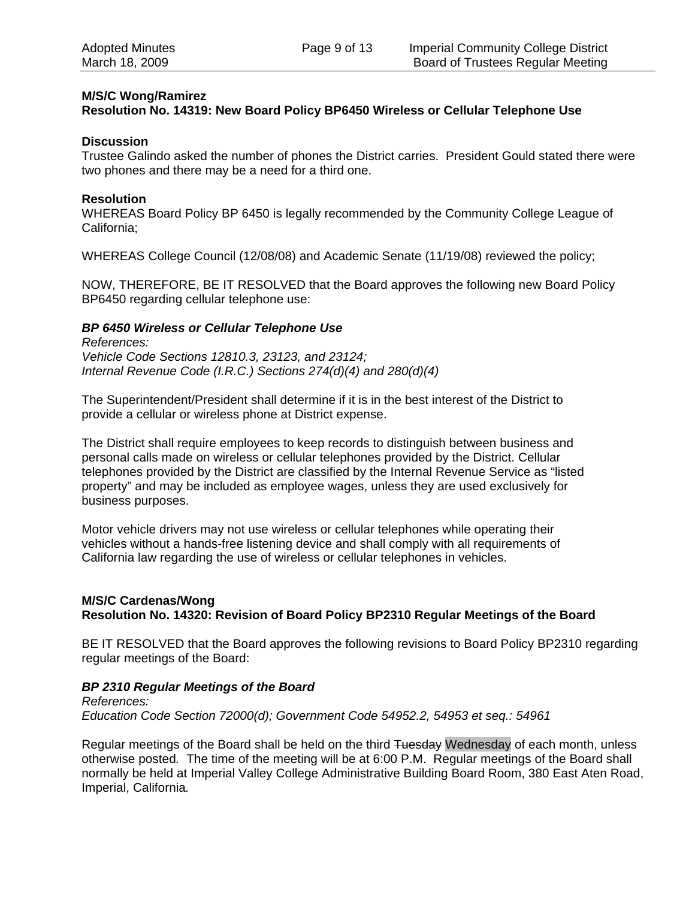# **M/S/C Wong/Ramirez**

### **Resolution No. 14319: New Board Policy BP6450 Wireless or Cellular Telephone Use**

#### **Discussion**

Trustee Galindo asked the number of phones the District carries. President Gould stated there were two phones and there may be a need for a third one.

#### **Resolution**

WHEREAS Board Policy BP 6450 is legally recommended by the Community College League of California;

WHEREAS College Council (12/08/08) and Academic Senate (11/19/08) reviewed the policy;

NOW, THEREFORE, BE IT RESOLVED that the Board approves the following new Board Policy BP6450 regarding cellular telephone use:

#### *BP 6450 Wireless or Cellular Telephone Use*

*References: Vehicle Code Sections 12810.3, 23123, and 23124; Internal Revenue Code (I.R.C.) Sections 274(d)(4) and 280(d)(4)* 

The Superintendent/President shall determine if it is in the best interest of the District to provide a cellular or wireless phone at District expense.

The District shall require employees to keep records to distinguish between business and personal calls made on wireless or cellular telephones provided by the District. Cellular telephones provided by the District are classified by the Internal Revenue Service as "listed property" and may be included as employee wages, unless they are used exclusively for business purposes.

Motor vehicle drivers may not use wireless or cellular telephones while operating their vehicles without a hands-free listening device and shall comply with all requirements of California law regarding the use of wireless or cellular telephones in vehicles.

#### **M/S/C Cardenas/Wong Resolution No. 14320: Revision of Board Policy BP2310 Regular Meetings of the Board**

BE IT RESOLVED that the Board approves the following revisions to Board Policy BP2310 regarding regular meetings of the Board:

#### *BP 2310 Regular Meetings of the Board*

*References: Education Code Section 72000(d); Government Code 54952.2, 54953 et seq.: 54961* 

Regular meetings of the Board shall be held on the third Tuesday Wednesday of each month, unless otherwise posted*.* The time of the meeting will be at 6:00 P.M. Regular meetings of the Board shall normally be held at Imperial Valley College Administrative Building Board Room, 380 East Aten Road, Imperial, California*.*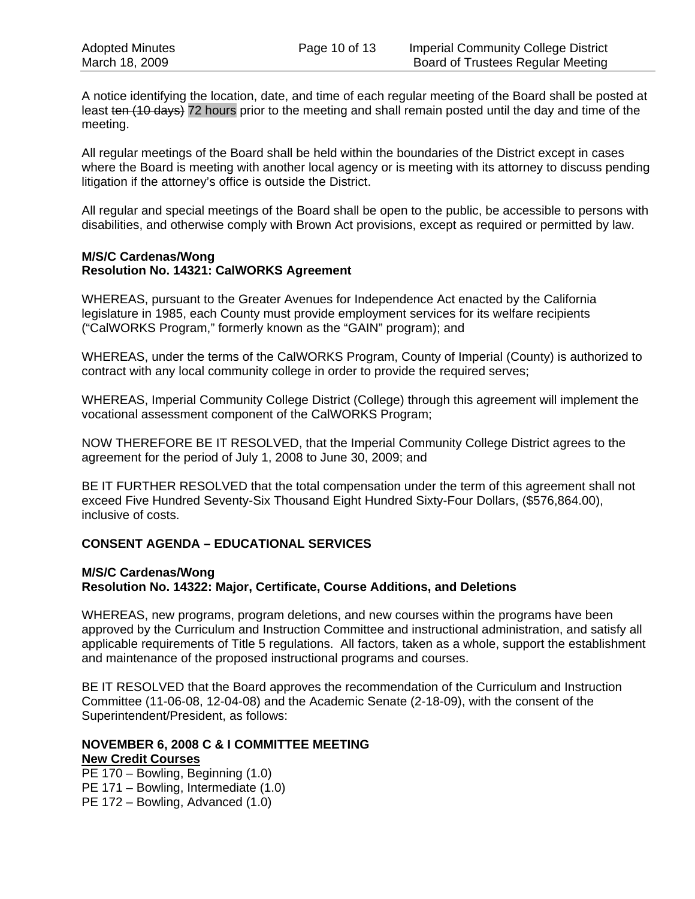A notice identifying the location, date, and time of each regular meeting of the Board shall be posted at least ten (10 days) 72 hours prior to the meeting and shall remain posted until the day and time of the meeting.

All regular meetings of the Board shall be held within the boundaries of the District except in cases where the Board is meeting with another local agency or is meeting with its attorney to discuss pending litigation if the attorney's office is outside the District.

All regular and special meetings of the Board shall be open to the public, be accessible to persons with disabilities, and otherwise comply with Brown Act provisions, except as required or permitted by law.

#### **M/S/C Cardenas/Wong Resolution No. 14321: CalWORKS Agreement**

WHEREAS, pursuant to the Greater Avenues for Independence Act enacted by the California legislature in 1985, each County must provide employment services for its welfare recipients ("CalWORKS Program," formerly known as the "GAIN" program); and

WHEREAS, under the terms of the CalWORKS Program, County of Imperial (County) is authorized to contract with any local community college in order to provide the required serves;

WHEREAS, Imperial Community College District (College) through this agreement will implement the vocational assessment component of the CalWORKS Program;

NOW THEREFORE BE IT RESOLVED, that the Imperial Community College District agrees to the agreement for the period of July 1, 2008 to June 30, 2009; and

BE IT FURTHER RESOLVED that the total compensation under the term of this agreement shall not exceed Five Hundred Seventy-Six Thousand Eight Hundred Sixty-Four Dollars, (\$576,864.00), inclusive of costs.

# **CONSENT AGENDA – EDUCATIONAL SERVICES**

# **M/S/C Cardenas/Wong Resolution No. 14322: Major, Certificate, Course Additions, and Deletions**

WHEREAS, new programs, program deletions, and new courses within the programs have been approved by the Curriculum and Instruction Committee and instructional administration, and satisfy all applicable requirements of Title 5 regulations. All factors, taken as a whole, support the establishment and maintenance of the proposed instructional programs and courses.

BE IT RESOLVED that the Board approves the recommendation of the Curriculum and Instruction Committee (11-06-08, 12-04-08) and the Academic Senate (2-18-09), with the consent of the Superintendent/President, as follows:

#### **NOVEMBER 6, 2008 C & I COMMITTEE MEETING New Credit Courses**

PE 170 – Bowling, Beginning (1.0) PE 171 – Bowling, Intermediate (1.0) PE 172 – Bowling, Advanced (1.0)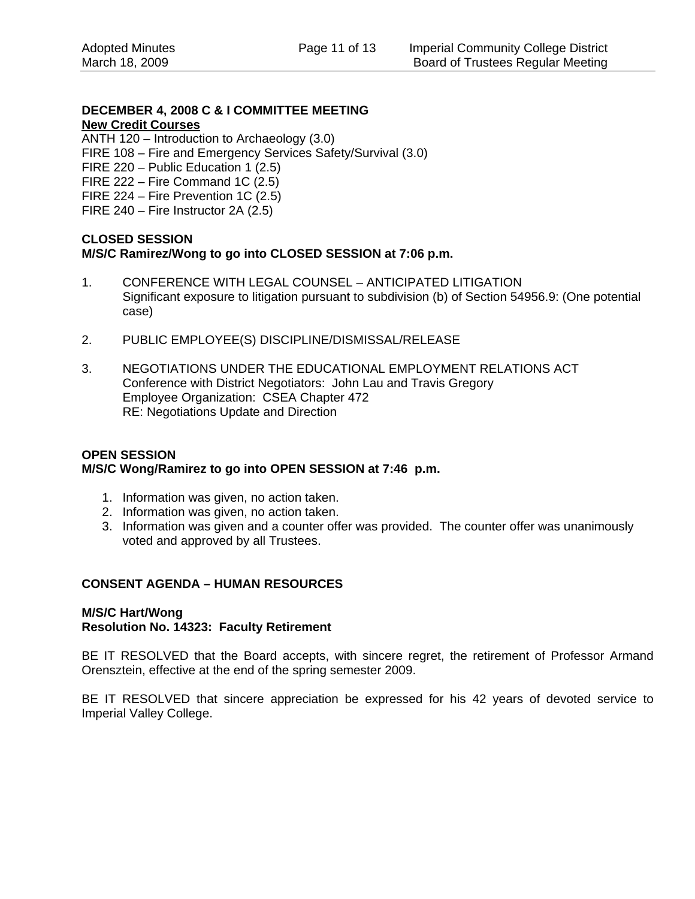# **DECEMBER 4, 2008 C & I COMMITTEE MEETING New Credit Courses**

ANTH 120 – Introduction to Archaeology (3.0)

- FIRE 108 Fire and Emergency Services Safety/Survival (3.0)
- FIRE 220 Public Education 1 (2.5)
- FIRE 222 Fire Command 1C (2.5)
- FIRE 224 Fire Prevention 1C (2.5)
- FIRE 240 Fire Instructor 2A (2.5)

# **CLOSED SESSION M/S/C Ramirez/Wong to go into CLOSED SESSION at 7:06 p.m.**

- 1. CONFERENCE WITH LEGAL COUNSEL ANTICIPATED LITIGATION Significant exposure to litigation pursuant to subdivision (b) of Section 54956.9: (One potential case)
- 2. PUBLIC EMPLOYEE(S) DISCIPLINE/DISMISSAL/RELEASE
- 3. NEGOTIATIONS UNDER THE EDUCATIONAL EMPLOYMENT RELATIONS ACT Conference with District Negotiators: John Lau and Travis Gregory Employee Organization: CSEA Chapter 472 RE: Negotiations Update and Direction

### **OPEN SESSION M/S/C Wong/Ramirez to go into OPEN SESSION at 7:46 p.m.**

- 1. Information was given, no action taken.
- 2. Information was given, no action taken.
- 3. Information was given and a counter offer was provided. The counter offer was unanimously voted and approved by all Trustees.

# **CONSENT AGENDA – HUMAN RESOURCES**

# **M/S/C Hart/Wong Resolution No. 14323: Faculty Retirement**

BE IT RESOLVED that the Board accepts, with sincere regret, the retirement of Professor Armand Orensztein, effective at the end of the spring semester 2009.

BE IT RESOLVED that sincere appreciation be expressed for his 42 years of devoted service to Imperial Valley College.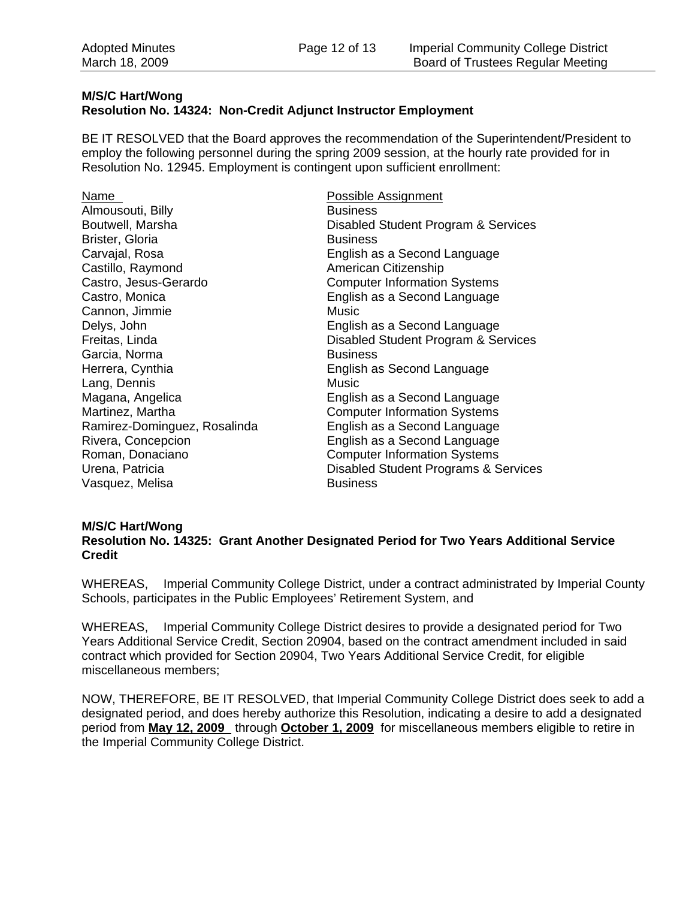#### **M/S/C Hart/Wong Resolution No. 14324: Non-Credit Adjunct Instructor Employment**

BE IT RESOLVED that the Board approves the recommendation of the Superintendent/President to employ the following personnel during the spring 2009 session, at the hourly rate provided for in Resolution No. 12945. Employment is contingent upon sufficient enrollment:

Name **Name** Possible Assignment Almousouti, Billy **Business** Boutwell, Marsha **Disabled Student Program & Services** Brister, Gloria **Business** Carvajal, Rosa **English as a Second Language** Castillo, Raymond **American Citizenship** Castro, Jesus-Gerardo Computer Information Systems Castro, Monica English as a Second Language Cannon, Jimmie Music Delys, John English as a Second Language Freitas, Linda Disabled Student Program & Services Garcia, Norma Business Herrera, Cynthia **English as Second Language** Lang, Dennis **Music** Music Magana, Angelica **English as a Second Language** Martinez, Martha **Martings** Computer Information Systems Ramirez-Dominguez, Rosalinda English as a Second Language Rivera, Concepcion English as a Second Language Roman, Donaciano **Computer Information Systems** Urena, Patricia Disabled Student Programs & Services Vasquez, Melisa Business

#### **M/S/C Hart/Wong**

**Resolution No. 14325: Grant Another Designated Period for Two Years Additional Service Credit** 

WHEREAS, Imperial Community College District, under a contract administrated by Imperial County Schools, participates in the Public Employees' Retirement System, and

WHEREAS, Imperial Community College District desires to provide a designated period for Two Years Additional Service Credit, Section 20904, based on the contract amendment included in said contract which provided for Section 20904, Two Years Additional Service Credit, for eligible miscellaneous members;

NOW, THEREFORE, BE IT RESOLVED, that Imperial Community College District does seek to add a designated period, and does hereby authorize this Resolution, indicating a desire to add a designated period from **May 12, 2009** through **October 1, 2009** for miscellaneous members eligible to retire in the Imperial Community College District.